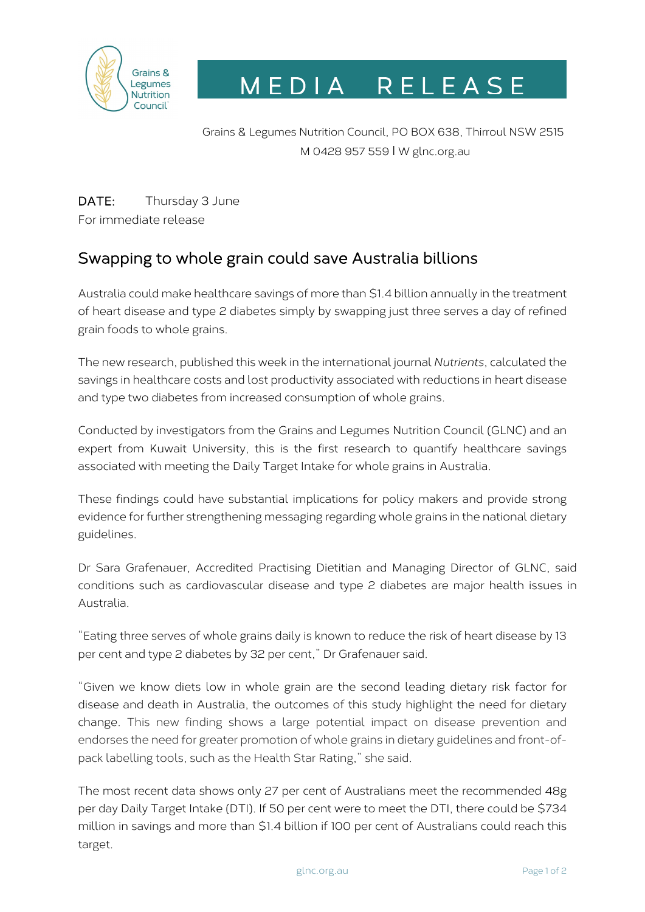

M E D I A R E L E A S E

Grains & Legumes Nutrition Council, PO BOX 638, Thirroul NSW 2515 M 0428 957 559 I W glnc.org.au

DATE: Thursday 3 June For immediate release

# Swapping to whole grain could save Australia billions

Australia could make healthcare savings of more than \$1.4 billion annually in the treatment of heart disease and type 2 diabetes simply by swapping just three serves a day of refined grain foods to whole grains.

The new research, published this week in the international journal *Nutrients*, calculated the savings in healthcare costs and lost productivity associated with reductions in heart disease and type two diabetes from increased consumption of whole grains.

Conducted by investigators from the Grains and Legumes Nutrition Council (GLNC) and an expert from Kuwait University, this is the first research to quantify healthcare savings associated with meeting the Daily Target Intake for whole grains in Australia.

These findings could have substantial implications for policy makers and provide strong evidence for further strengthening messaging regarding whole grains in the national dietary guidelines.

Dr Sara Grafenauer, Accredited Practising Dietitian and Managing Director of GLNC, said conditions such as cardiovascular disease and type 2 diabetes are major health issues in Australia.

"Eating three serves of whole grains daily is known to reduce the risk of heart disease by 13 per cent and type 2 diabetes by 32 per cent," Dr Grafenauer said.

"Given we know diets low in whole grain are the second leading dietary risk factor for disease and death in Australia, the outcomes of this study highlight the need for dietary change. This new finding shows a large potential impact on disease prevention and endorses the need for greater promotion of whole grains in dietary guidelines and front-ofpack labelling tools, such as the Health Star Rating," she said.

The most recent data shows only 27 per cent of Australians meet the recommended 48g per day Daily Target Intake (DTI). If 50 per cent were to meet the DTI, there could be \$734 million in savings and more than \$1.4 billion if 100 per cent of Australians could reach this target.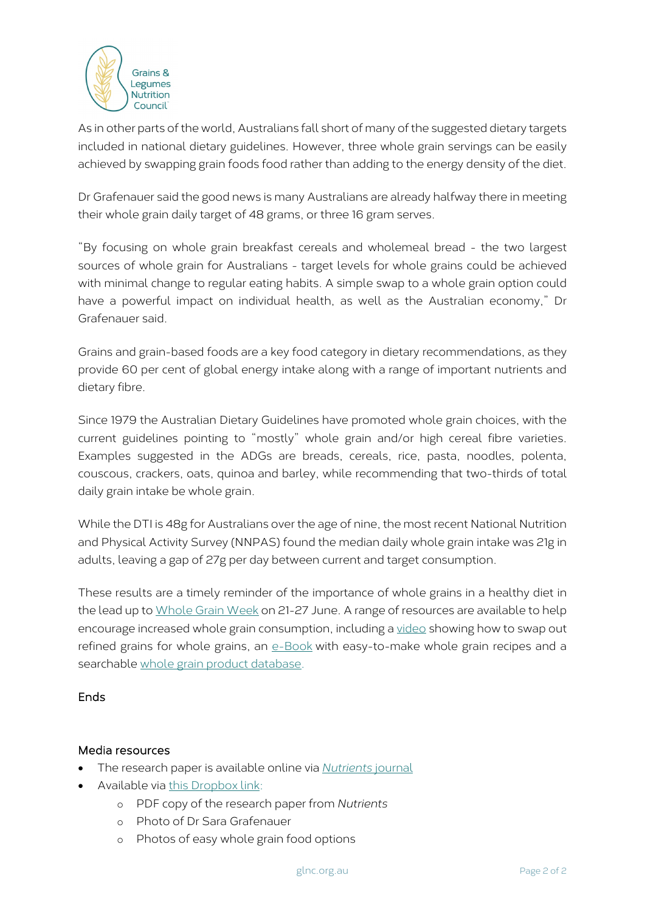

As in other parts of the world, Australians fall short of many of the suggested dietary targets included in national dietary guidelines. However, three whole grain servings can be easily achieved by swapping grain foods food rather than adding to the energy density of the diet.

Dr Grafenauer said the good news is many Australians are already halfway there in meeting their whole grain daily target of 48 grams, or three 16 gram serves.

"By focusing on whole grain breakfast cereals and wholemeal bread - the two largest sources of whole grain for Australians - target levels for whole grains could be achieved with minimal change to regular eating habits. A simple swap to a whole grain option could have a powerful impact on individual health, as well as the Australian economy," Dr Grafenauer said.

Grains and grain-based foods are a key food category in dietary recommendations, as they provide 60 per cent of global energy intake along with a range of important nutrients and dietary fibre.

Since 1979 the Australian Dietary Guidelines have promoted whole grain choices, with the current guidelines pointing to "mostly" whole grain and/or high cereal fibre varieties. Examples suggested in the ADGs are breads, cereals, rice, pasta, noodles, polenta, couscous, crackers, oats, quinoa and barley, while recommending that two-thirds of total daily grain intake be whole grain.

While the DTI is 48g for Australians over the age of nine, the most recent National Nutrition and Physical Activity Survey (NNPAS) found the median daily whole grain intake was 21g in adults, leaving a gap of 27g per day between current and target consumption.

These results are a timely reminder of the importance of whole grains in a healthy diet in the lead up to Whole [Grain Week](https://www.glnc.org.au/news-media/whole-grain-week/) on 21-27 June. A range of resources are available to help encourage increased whole grain consumption, including a [video](https://youtu.be/QS_phmTLK-M) showing how to swap out refined grains for whole grains, an [e-Book](https://www.glnc.org.au/wp-content/uploads/2020/06/Final-E-Book_C.pdf) with easy-to-make whole grain recipes and a searchable [whole grain product database.](http://bit.ly/2rgCW7d)

## **Ends**

#### Media resources

- The research paper is available online via *[Nutrients](https://www.mdpi.com/2072-6643/13/6/1855)* journal
- Available via [this Dropbox link:](https://www.dropbox.com/sh/dfr66drvwkmarq9/AABBj6U7Swf5EF-10bCjj7RIa?dl=0)
	- o PDF copy of the research paper from *Nutrients*
	- o Photo of Dr Sara Grafenauer
	- o Photos of easy whole grain food options